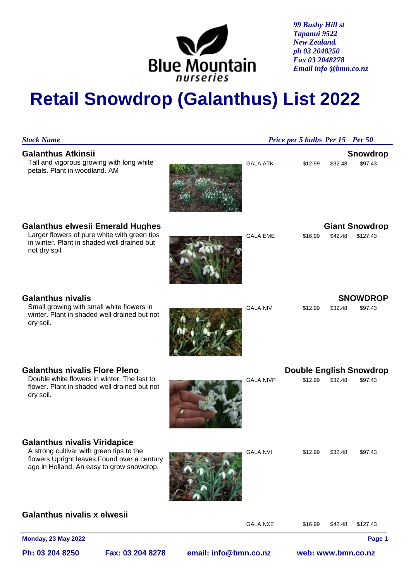

*99 Bushy Hill st Tapanui 9522 New Zealand. ph 03 2048250 Fax 03 2048278 Email info @bmn.co.nz*

# **Retail Snowdrop (Galanthus) List 2022**

| <b>Stock Name</b>                                                                                                                                                             |                  |                       | Price per 5 bulbs Per 15 Per 50 |                    |                                           |
|-------------------------------------------------------------------------------------------------------------------------------------------------------------------------------|------------------|-----------------------|---------------------------------|--------------------|-------------------------------------------|
| <b>Galanthus Atkinsii</b><br>Tall and vigorous growing with long white<br>petals. Plant in woodland. AM                                                                       |                  | <b>GALA ATK</b>       | \$12.99                         | \$32.48            | <b>Snowdrop</b><br>\$97.43                |
| <b>Galanthus elwesii Emerald Hughes</b><br>Larger flowers of pure white with green tips<br>in winter. Plant in shaded well drained but<br>not dry soil.                       |                  | <b>GALA EME</b>       | \$16.99                         | \$42.48            | <b>Giant Snowdrop</b><br>\$127.43         |
| <b>Galanthus nivalis</b><br>Small growing with small white flowers in<br>winter. Plant in shaded well drained but not<br>dry soil.                                            |                  | <b>GALA NIV</b>       | \$12.99                         | \$32.48            | <b>SNOWDROP</b><br>\$97.43                |
| <b>Galanthus nivalis Flore Pleno</b><br>Double white flowers in winter. The last to<br>flower. Plant in shaded well drained but not<br>dry soil.                              |                  | <b>GALA NIVP</b>      | \$12.99                         | \$32.48            | <b>Double English Snowdrop</b><br>\$97.43 |
| <b>Galanthus nivalis Viridapice</b><br>A strong cultivar with green tips to the<br>flowers, Upright leaves. Found over a century<br>ago in Holland. An easy to grow snowdrop. |                  | <b>GALA NVI</b>       | \$12.99                         | \$32.48            | \$97.43                                   |
| <b>Galanthus nivalis x elwesii</b>                                                                                                                                            |                  | <b>GALA NXE</b>       | \$16.99                         | \$42.48            | \$127.43                                  |
| <b>Monday, 23 May 2022</b>                                                                                                                                                    |                  |                       |                                 |                    | Page 1                                    |
| Ph: 03 204 8250                                                                                                                                                               | Fax: 03 204 8278 | email: info@bmn.co.nz |                                 | web: www.bmn.co.nz |                                           |